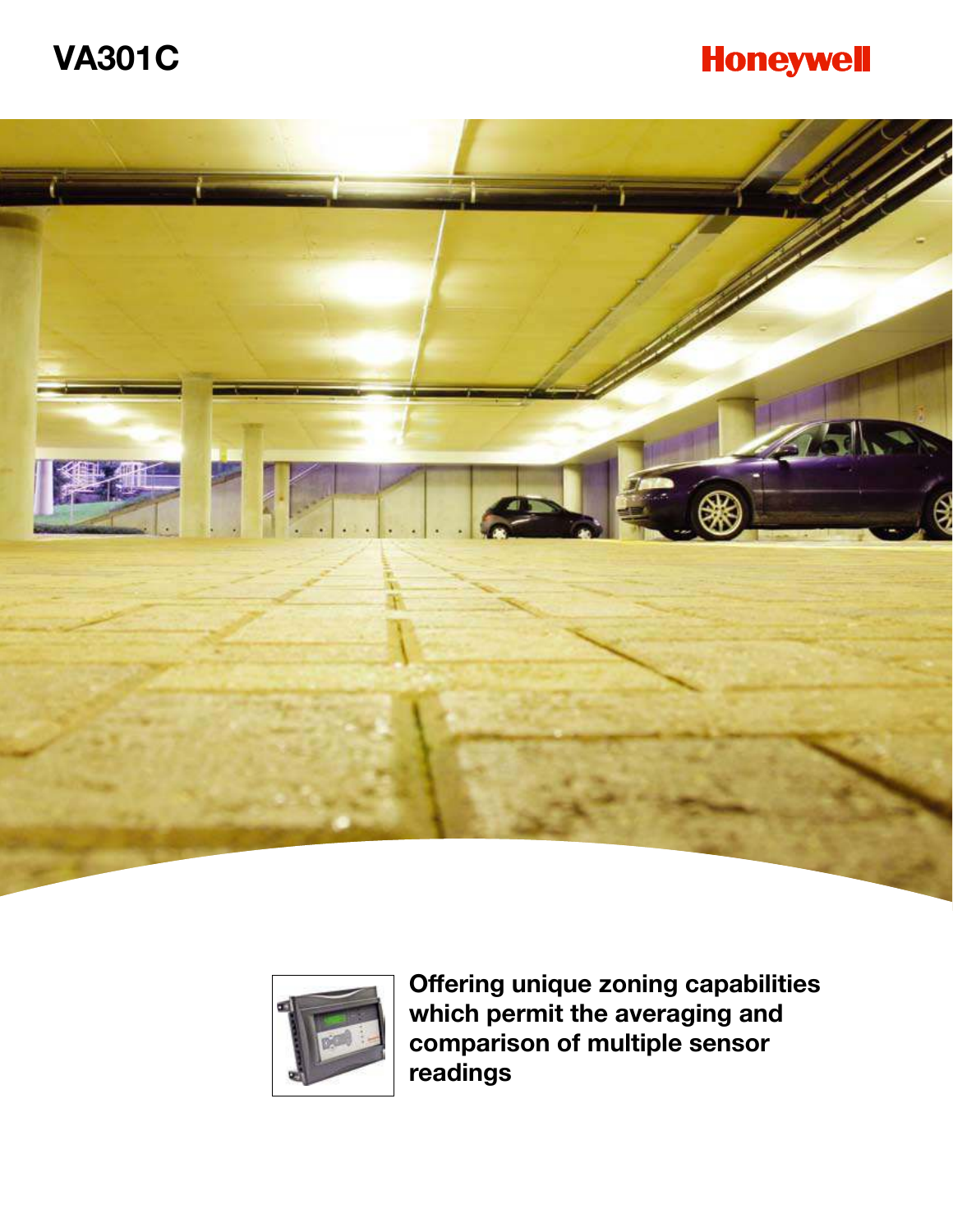# **VA301C**

## **Honeywell**





**Offering unique zoning capabilities which permit the averaging and comparison of multiple sensor readings**